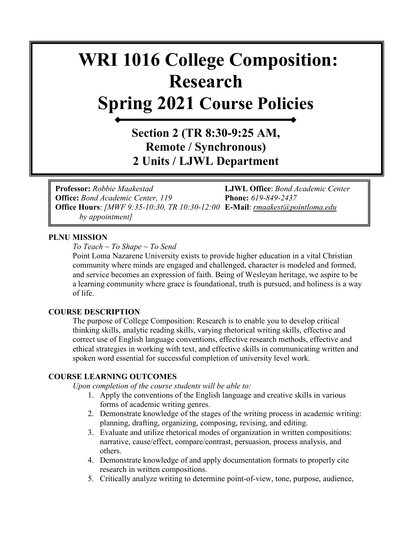# **WRI 1016 College Composition: Research Spring 2021 Course Policies**

### **Section 2 (TR 8:30-9:25 AM, Remote / Synchronous) 2 Units / LJWL Department**

**Professor:** *Robbie Maakestad* **LJWL Office**: *Bond Academic Center*  **Office:** *Bond Academic Center, 119* **Phone:** *619-849-2437* **Office Hours**: *[MWF 9:35-10:30, TR 10:30-12:00* **E-Mail**: *[rmaakest@pointloma.edu](mailto:rmaakest@pointloma.edu)  by appointment]*

#### **PLNU MISSION**

*To Teach ~ To Shape ~ To Send* 

Point Loma Nazarene University exists to provide higher education in a vital Christian community where minds are engaged and challenged, character is modeled and formed, and service becomes an expression of faith. Being of Wesleyan heritage, we aspire to be a learning community where grace is foundational, truth is pursued, and holiness is a way of life.

#### **COURSE DESCRIPTION**

The purpose of College Composition: Research is to enable you to develop critical thinking skills, analytic reading skills, varying rhetorical writing skills, effective and correct use of English language conventions, effective research methods, effective and ethical strategies in working with text, and effective skills in communicating written and spoken word essential for successful completion of university level work.

#### **COURSE LEARNING OUTCOMES**

*Upon completion of the course students will be able to:*

- 1. Apply the conventions of the English language and creative skills in various forms of academic writing genres.
- 2. Demonstrate knowledge of the stages of the writing process in academic writing: planning, drafting, organizing, composing, revising, and editing.
- 3. Evaluate and utilize rhetorical modes of organization in written compositions: narrative, cause/effect, compare/contrast, persuasion, process analysis, and others.
- 4. Demonstrate knowledge of and apply documentation formats to properly cite research in written compositions.
- 5. Critically analyze writing to determine point-of-view, tone, purpose, audience,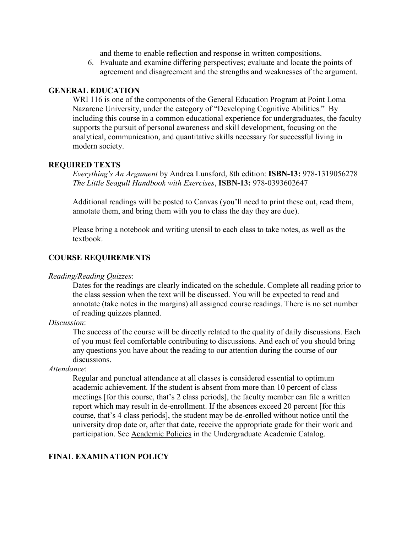and theme to enable reflection and response in written compositions.

6. Evaluate and examine differing perspectives; evaluate and locate the points of agreement and disagreement and the strengths and weaknesses of the argument.

#### **GENERAL EDUCATION**

WRI 116 is one of the components of the General Education Program at Point Loma Nazarene University, under the category of "Developing Cognitive Abilities." By including this course in a common educational experience for undergraduates, the faculty supports the pursuit of personal awareness and skill development, focusing on the analytical, communication, and quantitative skills necessary for successful living in modern society.

#### **REQUIRED TEXTS**

*Everything's An Argument* by Andrea Lunsford, 8th edition: **ISBN-13:** 978-1319056278 *The Little Seagull Handbook with Exercises*, **ISBN-13:** 978-0393602647

Additional readings will be posted to Canvas (you'll need to print these out, read them, annotate them, and bring them with you to class the day they are due).

Please bring a notebook and writing utensil to each class to take notes, as well as the textbook.

#### **COURSE REQUIREMENTS**

#### *Reading/Reading Quizzes*:

Dates for the readings are clearly indicated on the schedule. Complete all reading prior to the class session when the text will be discussed. You will be expected to read and annotate (take notes in the margins) all assigned course readings. There is no set number of reading quizzes planned.

#### *Discussion*:

The success of the course will be directly related to the quality of daily discussions. Each of you must feel comfortable contributing to discussions. And each of you should bring any questions you have about the reading to our attention during the course of our discussions.

#### *Attendance*:

Regular and punctual attendance at all classes is considered essential to optimum academic achievement. If the student is absent from more than 10 percent of class meetings [for this course, that's 2 class periods], the faculty member can file a written report which may result in de-enrollment. If the absences exceed 20 percent [for this course, that's 4 class periods], the student may be de-enrolled without notice until the university drop date or, after that date, receive the appropriate grade for their work and participation. See [Academic Policies](http://catalog.pointloma.edu/content.php?catoid=18&navoid=1278) in the Undergraduate Academic Catalog.

#### **FINAL EXAMINATION POLICY**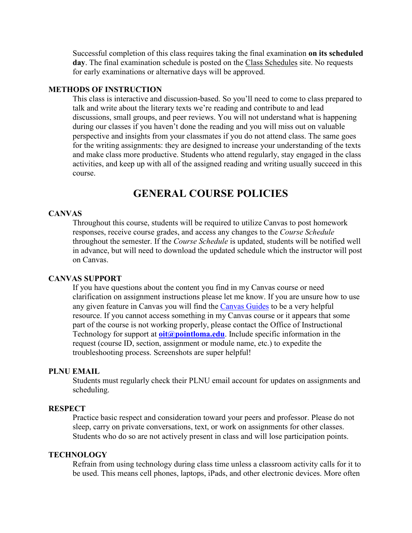Successful completion of this class requires taking the final examination **on its scheduled day**. The final examination schedule is posted on the [Class Schedules](http://www.pointloma.edu/experience/academics/class-schedules) site. No requests for early examinations or alternative days will be approved.

#### **METHODS OF INSTRUCTION**

This class is interactive and discussion-based. So you'll need to come to class prepared to talk and write about the literary texts we're reading and contribute to and lead discussions, small groups, and peer reviews. You will not understand what is happening during our classes if you haven't done the reading and you will miss out on valuable perspective and insights from your classmates if you do not attend class. The same goes for the writing assignments: they are designed to increase your understanding of the texts and make class more productive. Students who attend regularly, stay engaged in the class activities, and keep up with all of the assigned reading and writing usually succeed in this course.

### **GENERAL COURSE POLICIES**

#### **CANVAS**

Throughout this course, students will be required to utilize Canvas to post homework responses, receive course grades, and access any changes to the *Course Schedule* throughout the semester. If the *Course Schedule* is updated, students will be notified well in advance, but will need to download the updated schedule which the instructor will post on Canvas.

#### **CANVAS SUPPORT**

If you have questions about the content you find in my Canvas course or need clarification on assignment instructions please let me know. If you are unsure how to use any given feature in Canvas you will find the [Canvas Guides](https://community.canvaslms.com/community/answers/guides/) to be a very helpful resource. If you cannot access something in my Canvas course or it appears that some part of the course is not working properly, please contact the Office of Instructional Technology for support at **[oit@pointloma.edu](mailto:oit@pointloma.edu)**. Include specific information in the request (course ID, section, assignment or module name, etc.) to expedite the troubleshooting process. Screenshots are super helpful!

#### **PLNU EMAIL**

Students must regularly check their PLNU email account for updates on assignments and scheduling.

#### **RESPECT**

Practice basic respect and consideration toward your peers and professor. Please do not sleep, carry on private conversations, text, or work on assignments for other classes. Students who do so are not actively present in class and will lose participation points.

#### **TECHNOLOGY**

Refrain from using technology during class time unless a classroom activity calls for it to be used. This means cell phones, laptops, iPads, and other electronic devices. More often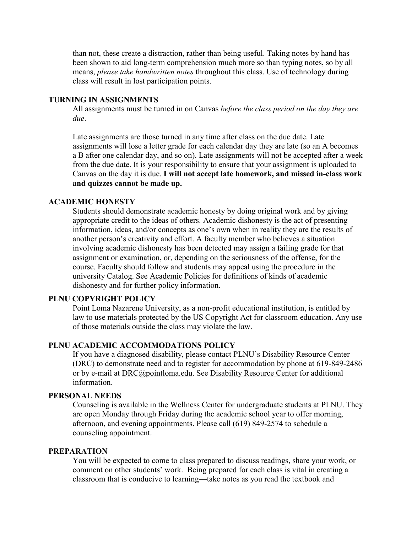than not, these create a distraction, rather than being useful. Taking notes by hand has been shown to aid long-term comprehension much more so than typing notes, so by all means, *please take handwritten notes* throughout this class. Use of technology during class will result in lost participation points.

#### **TURNING IN ASSIGNMENTS**

All assignments must be turned in on Canvas *before the class period on the day they are due*.

Late assignments are those turned in any time after class on the due date. Late assignments will lose a letter grade for each calendar day they are late (so an A becomes a B after one calendar day, and so on). Late assignments will not be accepted after a week from the due date. It is your responsibility to ensure that your assignment is uploaded to Canvas on the day it is due. **I will not accept late homework, and missed in-class work and quizzes cannot be made up.** 

#### **ACADEMIC HONESTY**

Students should demonstrate academic honesty by doing original work and by giving appropriate credit to the ideas of others. Academic dishonesty is the act of presenting information, ideas, and/or concepts as one's own when in reality they are the results of another person's creativity and effort. A faculty member who believes a situation involving academic dishonesty has been detected may assign a failing grade for that assignment or examination, or, depending on the seriousness of the offense, for the course. Faculty should follow and students may appeal using the procedure in the university Catalog. See [Academic Policies](http://catalog.pointloma.edu/content.php?catoid=18&navoid=1278) for definitions of kinds of academic dishonesty and for further policy information.

#### **PLNU COPYRIGHT POLICY**

Point Loma Nazarene University, as a non-profit educational institution, is entitled by law to use materials protected by the US Copyright Act for classroom education. Any use of those materials outside the class may violate the law.

#### **PLNU ACADEMIC ACCOMMODATIONS POLICY**

If you have a diagnosed disability, please contact PLNU's Disability Resource Center (DRC) to demonstrate need and to register for accommodation by phone at 619-849-2486 or by e-mail at [DRC@pointloma.edu.](mailto:DRC@pointloma.edu) See [Disability Resource Center](http://www.pointloma.edu/experience/offices/administrative-offices/academic-advising-office/disability-resource-center) for additional information.

#### **PERSONAL NEEDS**

Counseling is available in the Wellness Center for undergraduate students at PLNU. They are open Monday through Friday during the academic school year to offer morning, afternoon, and evening appointments. Please call (619) 849-2574 to schedule a counseling appointment.

#### **PREPARATION**

You will be expected to come to class prepared to discuss readings, share your work, or comment on other students' work. Being prepared for each class is vital in creating a classroom that is conducive to learning—take notes as you read the textbook and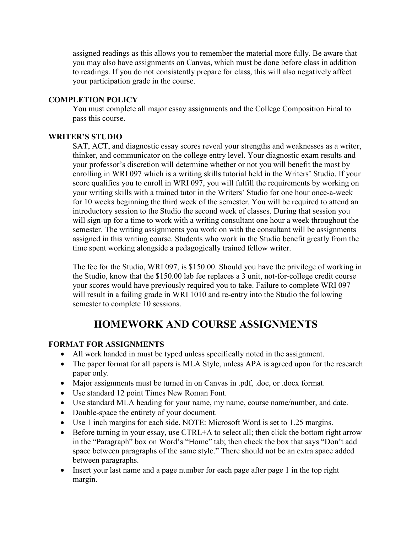assigned readings as this allows you to remember the material more fully. Be aware that you may also have assignments on Canvas, which must be done before class in addition to readings. If you do not consistently prepare for class, this will also negatively affect your participation grade in the course.

#### **COMPLETION POLICY**

You must complete all major essay assignments and the College Composition Final to pass this course.

#### **WRITER'S STUDIO**

SAT, ACT, and diagnostic essay scores reveal your strengths and weaknesses as a writer, thinker, and communicator on the college entry level. Your diagnostic exam results and your professor's discretion will determine whether or not you will benefit the most by enrolling in WRI 097 which is a writing skills tutorial held in the Writers' Studio. If your score qualifies you to enroll in WRI 097, you will fulfill the requirements by working on your writing skills with a trained tutor in the Writers' Studio for one hour once-a-week for 10 weeks beginning the third week of the semester. You will be required to attend an introductory session to the Studio the second week of classes. During that session you will sign-up for a time to work with a writing consultant one hour a week throughout the semester. The writing assignments you work on with the consultant will be assignments assigned in this writing course. Students who work in the Studio benefit greatly from the time spent working alongside a pedagogically trained fellow writer.

The fee for the Studio, WRI 097, is \$150.00. Should you have the privilege of working in the Studio, know that the \$150.00 lab fee replaces a 3 unit, not-for-college credit course your scores would have previously required you to take. Failure to complete WRI 097 will result in a failing grade in WRI 1010 and re-entry into the Studio the following semester to complete 10 sessions.

### **HOMEWORK AND COURSE ASSIGNMENTS**

#### **FORMAT FOR ASSIGNMENTS**

- All work handed in must be typed unless specifically noted in the assignment.
- The paper format for all papers is MLA Style, unless APA is agreed upon for the research paper only.
- Major assignments must be turned in on Canvas in .pdf, .doc, or .docx format.
- Use standard 12 point Times New Roman Font.
- Use standard MLA heading for your name, my name, course name/number, and date.
- Double-space the entirety of your document.
- Use 1 inch margins for each side. NOTE: Microsoft Word is set to 1.25 margins.
- Before turning in your essay, use CTRL+A to select all; then click the bottom right arrow in the "Paragraph" box on Word's "Home" tab; then check the box that says "Don't add space between paragraphs of the same style." There should not be an extra space added between paragraphs.
- Insert your last name and a page number for each page after page 1 in the top right margin.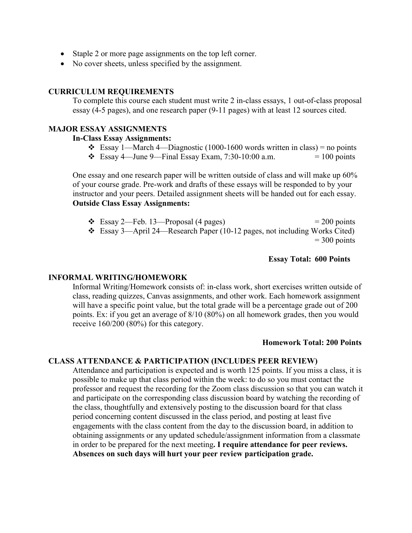- Staple 2 or more page assignments on the top left corner.
- No cover sheets, unless specified by the assignment.

#### **CURRICULUM REQUIREMENTS**

To complete this course each student must write 2 in-class essays, 1 out-of-class proposal essay (4-5 pages), and one research paper (9-11 pages) with at least 12 sources cited.

#### **MAJOR ESSAY ASSIGNMENTS**

#### **In-Class Essay Assignments:**

- Essay 1—March 4—Diagnostic (1000-1600 words written in class) = no points
- $\div$  Essay 4—June 9—Final Essay Exam, 7:30-10:00 a.m. = 100 points

One essay and one research paper will be written outside of class and will make up 60% of your course grade. Pre-work and drafts of these essays will be responded to by your instructor and your peers. Detailed assignment sheets will be handed out for each essay. **Outside Class Essay Assignments:**

 $\div$  Essay 2—Feb. 13—Proposal (4 pages) = 200 points Essay 3—April 24—Research Paper (10-12 pages, not including Works Cited)  $= 300$  points

#### **Essay Total: 600 Points**

#### **INFORMAL WRITING/HOMEWORK**

Informal Writing/Homework consists of: in-class work, short exercises written outside of class, reading quizzes, Canvas assignments, and other work. Each homework assignment will have a specific point value, but the total grade will be a percentage grade out of 200 points. Ex: if you get an average of 8/10 (80%) on all homework grades, then you would receive 160/200 (80%) for this category.

#### **Homework Total: 200 Points**

#### **CLASS ATTENDANCE & PARTICIPATION (INCLUDES PEER REVIEW)**

Attendance and participation is expected and is worth 125 points. If you miss a class, it is possible to make up that class period within the week: to do so you must contact the professor and request the recording for the Zoom class discussion so that you can watch it and participate on the corresponding class discussion board by watching the recording of the class, thoughtfully and extensively posting to the discussion board for that class period concerning content discussed in the class period, and posting at least five engagements with the class content from the day to the discussion board, in addition to obtaining assignments or any updated schedule/assignment information from a classmate in order to be prepared for the next meeting**. I require attendance for peer reviews. Absences on such days will hurt your peer review participation grade.**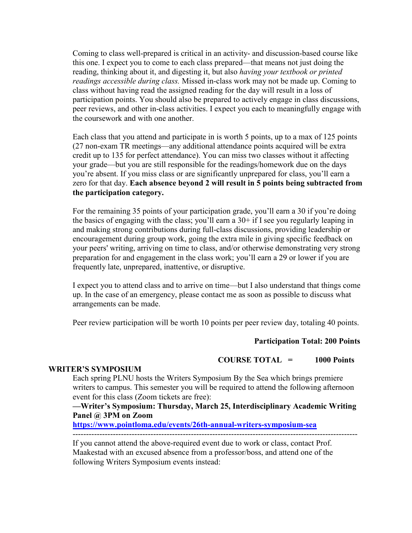Coming to class well-prepared is critical in an activity- and discussion-based course like this one. I expect you to come to each class prepared—that means not just doing the reading, thinking about it, and digesting it, but also *having your textbook or printed readings accessible during class.* Missed in-class work may not be made up. Coming to class without having read the assigned reading for the day will result in a loss of participation points. You should also be prepared to actively engage in class discussions, peer reviews, and other in-class activities. I expect you each to meaningfully engage with the coursework and with one another.

Each class that you attend and participate in is worth 5 points, up to a max of 125 points (27 non-exam TR meetings—any additional attendance points acquired will be extra credit up to 135 for perfect attendance). You can miss two classes without it affecting your grade—but you are still responsible for the readings/homework due on the days you're absent. If you miss class or are significantly unprepared for class, you'll earn a zero for that day. **Each absence beyond 2 will result in 5 points being subtracted from the participation category.** 

For the remaining 35 points of your participation grade, you'll earn a 30 if you're doing the basics of engaging with the class; you'll earn a  $30+$  if I see you regularly leaping in and making strong contributions during full-class discussions, providing leadership or encouragement during group work, going the extra mile in giving specific feedback on your peers' writing, arriving on time to class, and/or otherwise demonstrating very strong preparation for and engagement in the class work; you'll earn a 29 or lower if you are frequently late, unprepared, inattentive, or disruptive.

I expect you to attend class and to arrive on time—but I also understand that things come up. In the case of an emergency, please contact me as soon as possible to discuss what arrangements can be made.

Peer review participation will be worth 10 points per peer review day, totaling 40 points.

#### **Participation Total: 200 Points**

#### **COURSE TOTAL = 1000 Points**

#### **WRITER'S SYMPOSIUM**

Each spring PLNU hosts the Writers Symposium By the Sea which brings premiere writers to campus. This semester you will be required to attend the following afternoon event for this class (Zoom tickets are free):

**—Writer's Symposium: Thursday, March 25, Interdisciplinary Academic Writing Panel @ 3PM on Zoom**

**<https://www.pointloma.edu/events/26th-annual-writers-symposium-sea>**

#### ----------------------------------------------------------------------------------------------------------

If you cannot attend the above-required event due to work or class, contact Prof. Maakestad with an excused absence from a professor/boss, and attend one of the following Writers Symposium events instead: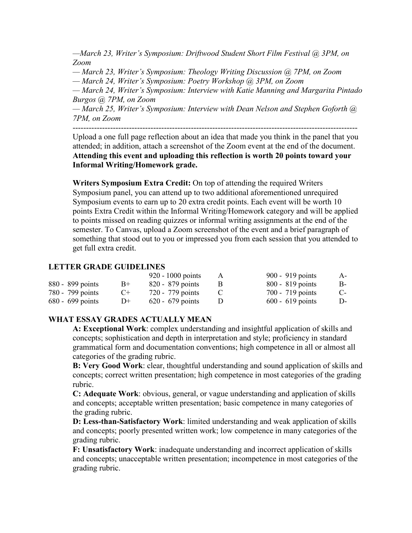*—March 23, Writer's Symposium: Driftwood Student Short Film Festival @ 3PM, on Zoom*

*— March 23, Writer's Symposium: Theology Writing Discussion @ 7PM, on Zoom*

*— March 24, Writer's Symposium: Poetry Workshop @ 3PM, on Zoom*

*— March 24, Writer's Symposium: Interview with Katie Manning and Margarita Pintado Burgos @ 7PM, on Zoom*

*— March 25, Writer's Symposium: Interview with Dean Nelson and Stephen Goforth @ 7PM, on Zoom*

----------------------------------------------------------------------------------------------------------

Upload a one full page reflection about an idea that made you think in the panel that you attended; in addition, attach a screenshot of the Zoom event at the end of the document. **Attending this event and uploading this reflection is worth 20 points toward your Informal Writing/Homework grade.**

**Writers Symposium Extra Credit:** On top of attending the required Writers Symposium panel, you can attend up to two additional aforementioned unrequired Symposium events to earn up to 20 extra credit points. Each event will be worth 10 points Extra Credit within the Informal Writing/Homework category and will be applied to points missed on reading quizzes or informal writing assignments at the end of the semester. To Canvas, upload a Zoom screenshot of the event and a brief paragraph of something that stood out to you or impressed you from each session that you attended to get full extra credit.

#### **LETTER GRADE GUIDELINES**

|                  |      | $920 - 1000$ points | А | 900 - 919 points   | $A-$ |
|------------------|------|---------------------|---|--------------------|------|
| 880 - 899 points | $B+$ | $820 - 879$ points  |   | $800 - 819$ points | B-   |
| 780 - 799 points | $C+$ | 720 - 779 points    |   | 700 - 719 points   | $C-$ |
| 680 - 699 points | $D+$ | $620 - 679$ points  |   | $600 - 619$ points | D-   |

#### **WHAT ESSAY GRADES ACTUALLY MEAN**

**A: Exceptional Work**: complex understanding and insightful application of skills and concepts; sophistication and depth in interpretation and style; proficiency in standard grammatical form and documentation conventions; high competence in all or almost all categories of the grading rubric.

**B: Very Good Work**: clear, thoughtful understanding and sound application of skills and concepts; correct written presentation; high competence in most categories of the grading rubric.

**C: Adequate Work**: obvious, general, or vague understanding and application of skills and concepts; acceptable written presentation; basic competence in many categories of the grading rubric.

**D: Less-than-Satisfactory Work**: limited understanding and weak application of skills and concepts; poorly presented written work; low competence in many categories of the grading rubric.

**F: Unsatisfactory Work**: inadequate understanding and incorrect application of skills and concepts; unacceptable written presentation; incompetence in most categories of the grading rubric.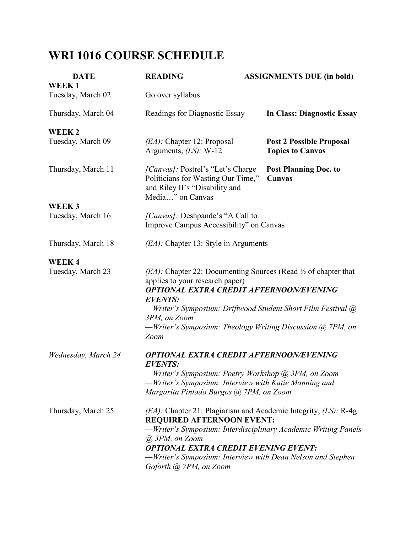## **WRI 1016 COURSE SCHEDULE**

| <b>DATE</b><br>WEEK1              | <b>READING</b>                                                                                                                                                                                                                                                                                                                            | <b>ASSIGNMENTS DUE (in bold)</b>                           |  |  |
|-----------------------------------|-------------------------------------------------------------------------------------------------------------------------------------------------------------------------------------------------------------------------------------------------------------------------------------------------------------------------------------------|------------------------------------------------------------|--|--|
| Tuesday, March 02                 | Go over syllabus                                                                                                                                                                                                                                                                                                                          |                                                            |  |  |
| Thursday, March 04                | Readings for Diagnostic Essay                                                                                                                                                                                                                                                                                                             | In Class: Diagnostic Essay                                 |  |  |
| WEEK <sub>2</sub>                 |                                                                                                                                                                                                                                                                                                                                           |                                                            |  |  |
| Tuesday, March 09                 | $(EA)$ : Chapter 12: Proposal<br>Arguments, $(LS)$ : W-12                                                                                                                                                                                                                                                                                 | <b>Post 2 Possible Proposal</b><br><b>Topics to Canvas</b> |  |  |
| Thursday, March 11                | <i>[Canvas]</i> : Postrel's "Let's Charge"<br>Politicians for Wasting Our Time,"<br>and Riley II's "Disability and<br>Media" on Canvas                                                                                                                                                                                                    | <b>Post Planning Doc. to</b><br>Canvas                     |  |  |
| WEEK3                             |                                                                                                                                                                                                                                                                                                                                           |                                                            |  |  |
| Tuesday, March 16                 | [Canvas]: Deshpande's "A Call to<br>Improve Campus Accessibility" on Canvas                                                                                                                                                                                                                                                               |                                                            |  |  |
| Thursday, March 18                | $(EA)$ : Chapter 13: Style in Arguments                                                                                                                                                                                                                                                                                                   |                                                            |  |  |
| <b>WEEK4</b><br>Tuesday, March 23 | $(EA)$ : Chapter 22: Documenting Sources (Read $\frac{1}{2}$ of chapter that<br>applies to your research paper)<br><b>OPTIONAL EXTRA CREDIT AFTERNOON/EVENING</b><br><b>EVENTS:</b><br>—Writer's Symposium: Driftwood Student Short Film Festival @<br>3PM, on Zoom<br>-Writer's Symposium: Theology Writing Discussion @ 7PM, on<br>Zoom |                                                            |  |  |
| Wednesday, March 24               | OPTIONAL EXTRA CREDIT AFTERNOON/EVENING<br><b>EVENTS:</b><br>-Writer's Symposium: Poetry Workshop @ 3PM, on Zoom<br>-Writer's Symposium: Interview with Katie Manning and<br>Margarita Pintado Burgos @ 7PM, on Zoom                                                                                                                      |                                                            |  |  |
| Thursday, March 25                | $(EA)$ : Chapter 21: Plagiarism and Academic Integrity; (LS): R-4g<br><b>REQUIRED AFTERNOON EVENT:</b><br>-Writer's Symposium: Interdisciplinary Academic Writing Panels<br>@ 3PM, on Zoom<br><b>OPTIONAL EXTRA CREDIT EVENING EVENT:</b><br>—Writer's Symposium: Interview with Dean Nelson and Stephen<br>Goforth @ 7PM, on Zoom        |                                                            |  |  |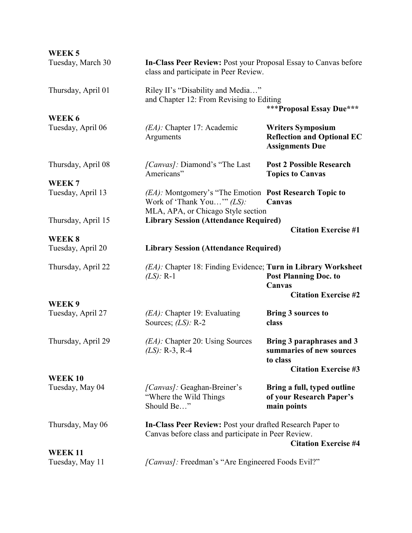| WEEK <sub>5</sub>  |                                                                                                                                                 |                                                                                                  |  |
|--------------------|-------------------------------------------------------------------------------------------------------------------------------------------------|--------------------------------------------------------------------------------------------------|--|
| Tuesday, March 30  | In-Class Peer Review: Post your Proposal Essay to Canvas before<br>class and participate in Peer Review.                                        |                                                                                                  |  |
| Thursday, April 01 | Riley II's "Disability and Media"<br>and Chapter 12: From Revising to Editing<br><b>***Proposal Essay Due***</b>                                |                                                                                                  |  |
| WEEK 6             |                                                                                                                                                 |                                                                                                  |  |
| Tuesday, April 06  | (EA): Chapter 17: Academic<br>Arguments                                                                                                         | <b>Writers Symposium</b><br><b>Reflection and Optional EC</b><br><b>Assignments Due</b>          |  |
| Thursday, April 08 | [Canvas]: Diamond's "The Last<br>Americans"                                                                                                     | <b>Post 2 Possible Research</b><br><b>Topics to Canvas</b>                                       |  |
| WEEK <sub>7</sub>  |                                                                                                                                                 |                                                                                                  |  |
| Tuesday, April 13  | (EA): Montgomery's "The Emotion Post Research Topic to<br>Work of 'Thank You'" $(LS)$ :<br>MLA, APA, or Chicago Style section                   | Canvas                                                                                           |  |
| Thursday, April 15 | <b>Library Session (Attendance Required)</b>                                                                                                    |                                                                                                  |  |
|                    |                                                                                                                                                 | <b>Citation Exercise #1</b>                                                                      |  |
| WEEK <sub>8</sub>  |                                                                                                                                                 |                                                                                                  |  |
| Tuesday, April 20  | <b>Library Session (Attendance Required)</b>                                                                                                    |                                                                                                  |  |
| Thursday, April 22 | (EA): Chapter 18: Finding Evidence; Turn in Library Worksheet<br>$(LS): R-1$                                                                    | <b>Post Planning Doc. to</b><br>Canvas<br><b>Citation Exercise #2</b>                            |  |
| WEEK 9             |                                                                                                                                                 |                                                                                                  |  |
| Tuesday, April 27  | (EA): Chapter 19: Evaluating<br>Sources; $(LS)$ : R-2                                                                                           | <b>Bring 3 sources to</b><br>class                                                               |  |
| Thursday, April 29 | $(EA)$ : Chapter 20: Using Sources<br>$(LS)$ : R-3, R-4                                                                                         | Bring 3 paraphrases and 3<br>summaries of new sources<br>to class<br><b>Citation Exercise #3</b> |  |
| <b>WEEK10</b>      |                                                                                                                                                 |                                                                                                  |  |
| Tuesday, May 04    | [Canvas]: Geaghan-Breiner's<br>"Where the Wild Things"<br>Should Be"                                                                            | Bring a full, typed outline<br>of your Research Paper's<br>main points                           |  |
| Thursday, May 06   | In-Class Peer Review: Post your drafted Research Paper to<br>Canvas before class and participate in Peer Review.<br><b>Citation Exercise #4</b> |                                                                                                  |  |
| <b>WEEK11</b>      |                                                                                                                                                 |                                                                                                  |  |
| Tuesday, May 11    | [Canvas]: Freedman's "Are Engineered Foods Evil?"                                                                                               |                                                                                                  |  |